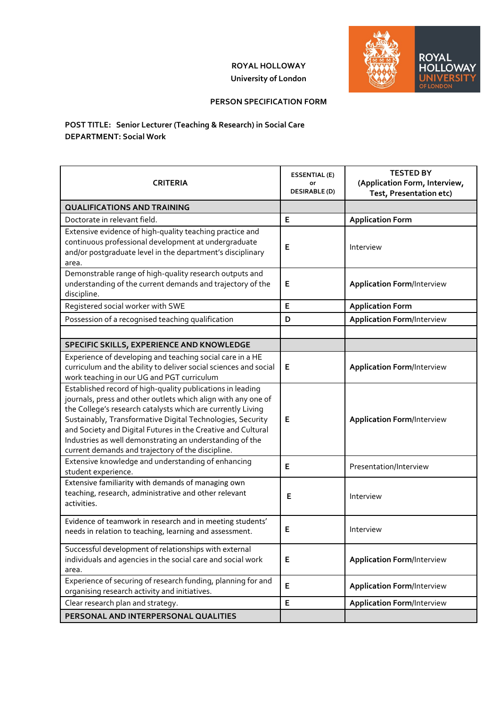## **ROYAL HOLLOWAY University of London**



## **PERSON SPECIFICATION FORM**

## **POST TITLE: Senior Lecturer (Teaching & Research) in Social Care DEPARTMENT: Social Work**

| <b>CRITERIA</b>                                                                                                                                                                                                                                                                                                                                                                                                                           | <b>ESSENTIAL (E)</b><br>or<br><b>DESIRABLE (D)</b> | <b>TESTED BY</b><br>(Application Form, Interview,<br>Test, Presentation etc) |
|-------------------------------------------------------------------------------------------------------------------------------------------------------------------------------------------------------------------------------------------------------------------------------------------------------------------------------------------------------------------------------------------------------------------------------------------|----------------------------------------------------|------------------------------------------------------------------------------|
| <b>QUALIFICATIONS AND TRAINING</b>                                                                                                                                                                                                                                                                                                                                                                                                        |                                                    |                                                                              |
| Doctorate in relevant field.                                                                                                                                                                                                                                                                                                                                                                                                              | E                                                  | <b>Application Form</b>                                                      |
| Extensive evidence of high-quality teaching practice and<br>continuous professional development at undergraduate<br>and/or postgraduate level in the department's disciplinary<br>area.                                                                                                                                                                                                                                                   | E                                                  | Interview                                                                    |
| Demonstrable range of high-quality research outputs and<br>understanding of the current demands and trajectory of the<br>discipline.                                                                                                                                                                                                                                                                                                      | Е                                                  | <b>Application Form/Interview</b>                                            |
| Registered social worker with SWE                                                                                                                                                                                                                                                                                                                                                                                                         | E                                                  | <b>Application Form</b>                                                      |
| Possession of a recognised teaching qualification                                                                                                                                                                                                                                                                                                                                                                                         | D                                                  | <b>Application Form/Interview</b>                                            |
|                                                                                                                                                                                                                                                                                                                                                                                                                                           |                                                    |                                                                              |
| SPECIFIC SKILLS, EXPERIENCE AND KNOWLEDGE                                                                                                                                                                                                                                                                                                                                                                                                 |                                                    |                                                                              |
| Experience of developing and teaching social care in a HE<br>curriculum and the ability to deliver social sciences and social<br>work teaching in our UG and PGT curriculum                                                                                                                                                                                                                                                               | Е                                                  | <b>Application Form/Interview</b>                                            |
| Established record of high-quality publications in leading<br>journals, press and other outlets which align with any one of<br>the College's research catalysts which are currently Living<br>Sustainably, Transformative Digital Technologies, Security<br>and Society and Digital Futures in the Creative and Cultural<br>Industries as well demonstrating an understanding of the<br>current demands and trajectory of the discipline. | E                                                  | <b>Application Form/Interview</b>                                            |
| Extensive knowledge and understanding of enhancing<br>student experience.                                                                                                                                                                                                                                                                                                                                                                 | E                                                  | Presentation/Interview                                                       |
| Extensive familiarity with demands of managing own<br>teaching, research, administrative and other relevant<br>activities.                                                                                                                                                                                                                                                                                                                | E                                                  | Interview                                                                    |
| Evidence of teamwork in research and in meeting students'<br>needs in relation to teaching, learning and assessment.                                                                                                                                                                                                                                                                                                                      | Е                                                  | Interview                                                                    |
| Successful development of relationships with external<br>individuals and agencies in the social care and social work<br>area.                                                                                                                                                                                                                                                                                                             | E                                                  | <b>Application Form/Interview</b>                                            |
| Experience of securing of research funding, planning for and<br>organising research activity and initiatives.                                                                                                                                                                                                                                                                                                                             | E                                                  | <b>Application Form/Interview</b>                                            |
| Clear research plan and strategy.                                                                                                                                                                                                                                                                                                                                                                                                         | E                                                  | <b>Application Form/Interview</b>                                            |
| PERSONAL AND INTERPERSONAL QUALITIES                                                                                                                                                                                                                                                                                                                                                                                                      |                                                    |                                                                              |